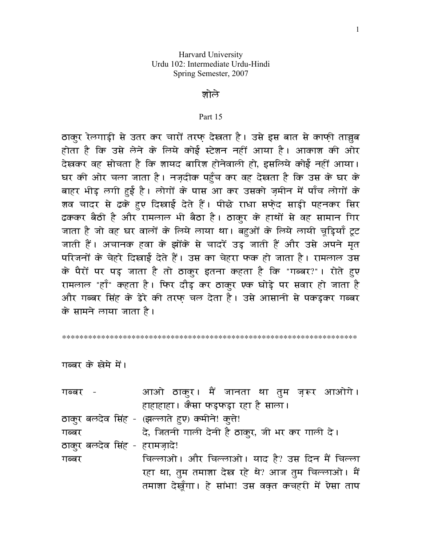## जोले

## Part 15

ठाक्र रेलगाड़ी से उतर कर चारों तरफ देखता है। उसे इस बात से काफी ताज्ज़ब होता है कि उसे लेने के लिये कोई स्टेशन नहीं आया है। आकाश की ओर देखकर वह सोचता है कि शायद बारिश होनेवाली हो, इसलिये कोई नहीं आया। घर की ओर चला जाता है। नज़दीक पहुँच कर वह देखता है कि उस के घर के बाहर भीड़ लगी हुई है। लोगों के पास आ कर उसको ज़मीन में पाँच लोगों के शव चादर से ढके हुए दिखाई देते हैं। पीछे राधा सफेद साड़ी पहनकर सिर ढककर बैठी है और रामलाल भी बैठा है। ठाकुर के हाथों से वह सामान गिर जाता है जो वह घर वालों के लिये लाया था। बहुओं के लिये लायी चूड़ियाँ टूट जाती हैं। अचानक हवा के झोंके से चादरें उड जाती हैं और उसे अपने मत परिजनों के चेहरे दिखाई देते हैं। उस का चेहरा फक हो जाता है। रामलाल उस के पैरों पर पड़ जाता है तो ठाकुर इतना कहता है कि "गब्बर?"। रोते हुए रामलाल "हाँ" कहता है। फिर दौड कर ठाकुर एक घोड़े पर सवार हो जाता है और गब्बर सिंह के डेरे की तरफ चल देता है। उसे आसानी से पकड़कर गब्बर के सामने लाया जाता है।

गब्बर के खेमे में।

| गब्बर -                                       |  |                                                 |  |  | आओ ठाकुर। मैं जानता था तुम ज़रूर आओगे।              |
|-----------------------------------------------|--|-------------------------------------------------|--|--|-----------------------------------------------------|
|                                               |  | हाहाहाहा। कैसा फड़फड़ा रहा है साला।             |  |  |                                                     |
| ठाकुर बलदेव सिंह - (झल्लाते हुए) कमीने! क्ते! |  |                                                 |  |  |                                                     |
| गब्बर                                         |  | दे, जितनी गाली देनी है ठाकुर, जी भर कर गाली दे। |  |  |                                                     |
| ठाकुर बलदेव सिंह - हरामज़ादे!                 |  |                                                 |  |  |                                                     |
| गब्बर                                         |  |                                                 |  |  | चिल्लाओ। और चिल्लाओ। याद है? उस दिन मैं चिल्ला      |
|                                               |  |                                                 |  |  | रहा था, तुम तमाशा देख रहे थे? आज तुम चिल्लाओ। मैं   |
|                                               |  |                                                 |  |  | तमाशा देखूँगा। हे सांभा! उस वक़्त कचहरी में ऐसा ताप |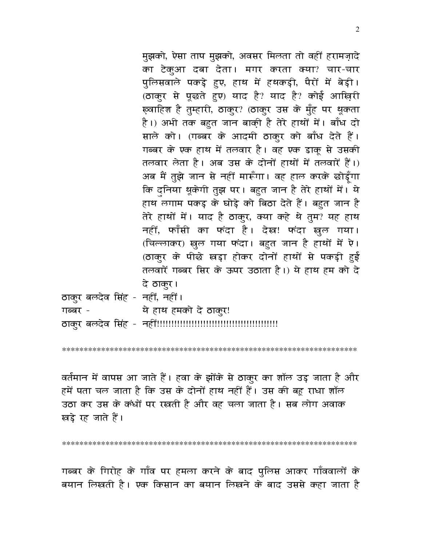मुझको, ऐसा ताप मुझको, अवसर मिलता तो वहीं हरामज़ादे का टेकुआ दबा देता। मगर करता क्या? चार-चार पुलिसवाले पकड़े हुए, हाथ में हथकड़ी, पैरों में बेड़ी। (ठाकुर से पूछते हुए) याद है? याद है? कोई आख़िरी ख़्वाहिश है तुम्हारी, ठाकुर? (ठाकुर उस के मुँह पर थूकता है।) अभी तक बहुत जान बाकी़ है तेरे हाथों में। बाँध दो साले को। (गब्बर के आदमी ठाकुर को बाँध देते हैं। गब्बर के एक हाथ में तलवार है। वह एक डाकू से उसकी तलवार लेता है। अब उस के दोनों हाथों में तलवारें हैं।) अब मैं तुझे जान से नहीं मारूँगा। वह हाल करके छोड़ूँगा कि दुनिया थूकेगी तुझ पर। बहुत जान है तेरे हाथों में। ये हाथ लगाम पकड़ के घोड़े को बिठा देते हैं। बहुत जान है तेरे हाथों में। याद है ठाकुर, क्या कहे थे तुम? यह हाथ नहीं, फाँसी का फंदा है। देख! फंदा खुल गया। (चिल्लाकर) खुल गया फंदा। बहुत जान है हाथों में ऐ। (ठाकुर के पीछे खड़ा होकर दोनों हाथों से पकड़ी हुई तलवारें गब्बर सिर के ऊपर उठाता है।) ये हाथ हम को दे दे ठाकुर।

ठाकुर बलदेव सिंह - नहीं, नहीं।

गब्बर -ये हाथ हमको दे ठाकुर!

वर्तमान में वापस आ जाते हैं। हवा के झोंके से ठाकुर का शॉल उड़ जाता है और हमें पता चल जाता है कि उस के दोनों हाथ नहीं हैं। उस की बहू राधा शॉल उठा कर उस के कंधों पर रखती है और वह चला जाता है। सब लोग अवाक खड़े रह जाते हैं।

गब्बर के गिरोह के गाँव पर हमला करने के बाद पुलिस आकर गाँववालों के बयान लिखती है। एक किसान का बयान लिखने के बाद उससे कहा जाता है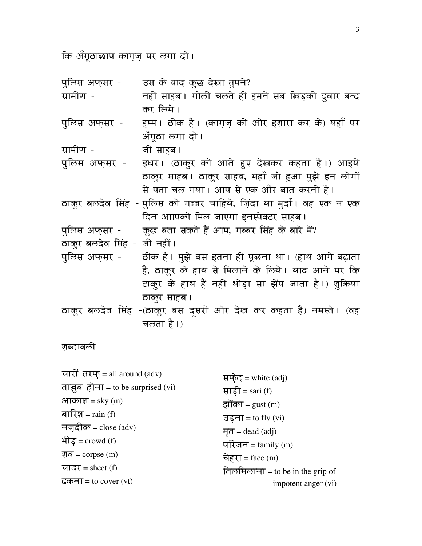कि अँगूठाछाप काग़ज़ पर लगा दो।

| पुलिस अफ्सर -               | उस के बाद कुछ देखा तुमने?                                              |
|-----------------------------|------------------------------------------------------------------------|
| ग्रामीण -                   | नहीं साहब। गोली चलते ही हमने सब खिड़की दुवार बन्द                      |
|                             | कर लिये।                                                               |
| पुलिस अफ्सर -               | हम्म। ठीक है। (काग़ज़ की ओर इश़ारा कर के) यहाँ पर                      |
|                             | अँगूठा लगा दो।                                                         |
| ग्रामीण -                   | जी साहब ।                                                              |
| पुलिस अफ्सर -               | इधर। (ठाकुर को आते हुए देखकर कहता है।) आइये                            |
|                             | ठाकुर साहब। ठाकुर साहब, यहाँ जो हुआ मुझे इन लोगों                      |
|                             | से पता चल गया। आप से एक और बात करनी है।                                |
|                             | ठाकुर बलदेव सिंह - पुलिस को गब्बर चाहिये, ज़िंदा या मुर्दा। वह एक न एक |
|                             | दिन आापको मिल जाएगा इनस्पेक्टर साहब।                                   |
| पुलिस अफ्सर -               | कुछ बता सकते हैं आप, गब्बर सिंह के बारे में?                           |
| ठाकुर बलदेव सिंह - जी नहीं। |                                                                        |
| पुलिस अफ्सर -               | ठीक है। मुझे बस इतना ही पूछना था। (हाथ आगे बढ़ाता                      |
|                             | है, ठाकुर के हाथ से मिलाने के लिये। याद आने पर कि                      |
|                             | टाकुर के हाथ हैं नहीं थोड़ा सा झेंप जाता है।) शुक्रिया                 |
|                             | ठाकुर साहब ।                                                           |
|                             | ठाकुर बलदेव सिंह -(ठाकुर बस दमरी ओर देख कर कहता है) नमस्ते। (वह        |
|                             | चलता है।)                                                              |

शब्दावली

| चारों तरफ् = all around (adv)       | सफेद = white $\text{(adj)}$      |
|-------------------------------------|----------------------------------|
| ताञ्जूब होना = to be surprised (vi) | साड़ी = sari (f)                 |
| आकाश = sky $(m)$                    | झोंका = gust $(m)$               |
| बारिश = $rain(f)$                   | $3\overline{5}$ ना = to fly (vi) |
| नजदीक = close (adv)                 | $\overline{H} =$ dead (adj)      |
| भीड $=$ crowd (f)                   | परिजन = family $(m)$             |
| श <b>व</b> = corpse (m)             | चेहरा = face $(m)$               |
| चादर = sheet (f)                    | तिलमिलाना = to be in the grip of |
| ढकना = to cover (vt)                | impotent anger (vi)              |
|                                     |                                  |